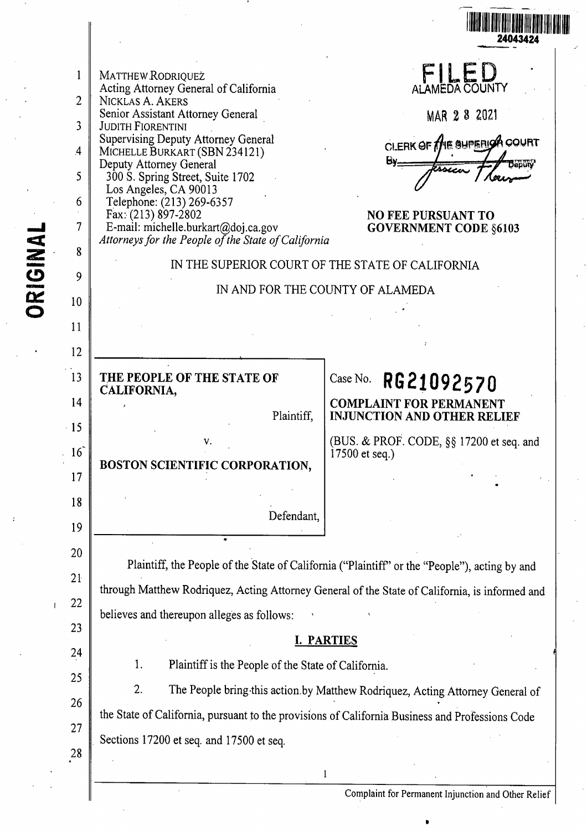|          |                                                                                  |                                                                                                                                                                                                                                                                                                                                                                                                                                                                          | 24043424                                                                                                                                                                                                                     |
|----------|----------------------------------------------------------------------------------|--------------------------------------------------------------------------------------------------------------------------------------------------------------------------------------------------------------------------------------------------------------------------------------------------------------------------------------------------------------------------------------------------------------------------------------------------------------------------|------------------------------------------------------------------------------------------------------------------------------------------------------------------------------------------------------------------------------|
| ORIGINAL | $\overline{2}$<br>3<br>$\overline{A}$<br>5<br>6<br>7<br>8<br>9<br>10<br>11<br>12 | MATTHEW RODRIQUEZ<br>Acting Attorney General of California<br>NICKLAS A. AKERS<br>Senior Assistant Attorney General<br><b>JUDITH FIORENTINI</b><br><b>Supervising Deputy Attorney General</b><br>MICHELLE BURKART (SBN 234121)<br>Deputy Attorney General<br>300 S. Spring Street, Suite 1702<br>Los Angeles, CA 90013<br>Telephone: (213) 269-6357<br>Fax: (213) 897-2802<br>E-mail: michelle.burkart@doj.ca.gov<br>Attorneys for the People of the State of California | ALAMEDA COUNTY<br>MAR 2 8 2021<br>CLERK OF THE SUPERISA COURT<br>$By -$<br><b>NO FEE PURSUANT TO</b><br><b>GOVERNMENT CODE §6103</b><br>IN THE SUPERIOR COURT OF THE STATE OF CALIFORNIA<br>IN AND FOR THE COUNTY OF ALAMEDA |
|          | 13<br>14<br>$\cdot$ 15                                                           | THE PEOPLE OF THE STATE OF<br>CALIFORNIA,<br>Plaintiff,<br>V.                                                                                                                                                                                                                                                                                                                                                                                                            | RG21092570<br>Case No.<br><b>COMPLAINT FOR PERMANENT</b><br><b>INJUNCTION AND OTHER RELIEF</b><br>(BUS. & PROF. CODE, §§ 17200 et seq. and                                                                                   |
|          | 16<br>17<br>18<br>19                                                             | BOSTON SCIENTIFIC CORPORATION,<br>Defendant,                                                                                                                                                                                                                                                                                                                                                                                                                             | $17500$ et seq.)                                                                                                                                                                                                             |
|          | 20<br>21<br>22<br>23<br>24<br>25<br>26<br>27                                     | through Matthew Rodriquez, Acting Attorney General of the State of California, is informed and<br>believes and thereupon alleges as follows:<br>1.<br>Plaintiff is the People of the State of California.<br>2.<br>the State of California, pursuant to the provisions of California Business and Professions Code<br>Sections 17200 et seq. and 17500 et seq.                                                                                                           | Plaintiff, the People of the State of California ("Plaintiff" or the "People"), acting by and<br><b>I. PARTIES</b><br>The People bring this action by Matthew Rodriquez, Acting Attorney General of                          |
|          | 28                                                                               |                                                                                                                                                                                                                                                                                                                                                                                                                                                                          |                                                                                                                                                                                                                              |

 $\Big\|$ 

 $\ddot{\phantom{0}}$ 

Complaint for Permanent Injunction and Other Relief

•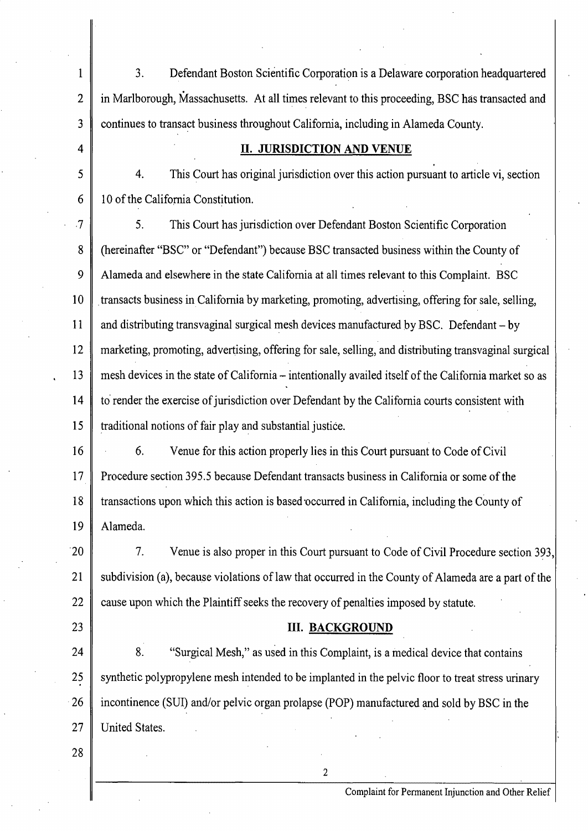1 2 3 3. Defendant Boston Scientific Corporation is a Delaware corporation headquartered in Marlborough, Massachusetts. At all times relevant to this proceeding, BSC has transacted and continues to transact business throughout California, including in Alameda County.

## **II. JURISDICTION AND VENUE**

5 6 4. This Court has original jurisdiction over this action pursuant to article vi, section 10 of the California Constitution.

,7 8 9 10 11 12 13 14 15 5. This Court has jurisdiction over Defendant Boston Scientific Corporation (hereinafter "BSC" or "Defendant") because BSC transacted business within the County of Alameda and elsewhere in the state California at all times relevant to this Complaint. BSC . transacts business in California by marketing, promoting, advertising, offering for sale, selling, and distributing transvaginal surgical mesh devices manufactured by BSC. Defendant  $-$  by marketing, promoting, advertising, offering for sale, selling, and distributing transvaginal surgical mesh devices in the state of California – intentionally availed itself of the California market so as to render the exercise of jurisdiction over Defendant by the California courts consistent with traditional notions of fair play and substantial justice.

16 17 18 19 6. Venue for this action properly lies in this Court pursuant to Code of Civil Procedure section 395.5 because Defendant transacts business in California or some of the transactions upon which this action is based occurred in California, including the County of Alameda.

·20 21 22 7. Venue is also proper in this Court pursuant to Code of Civil Procedure section 393, subdivision (a), because violations of law that occurred in the County of Alameda are a part of the cause upon which the Plaintiff seeks the recovery of penalties imposed by statute.

23

4

## **III. BACKGROUND**

24 25 26 27 8. "Surgical Mesh," as used in this Complaint, is a medical device that contains synthetic polypropylene mesh intended to be implanted in the pelvic floor to treat stress urinary incontinence (SUI) and/or pelvic organ prolapse (POP) manufactured and sold by BSC in the United States.

2

28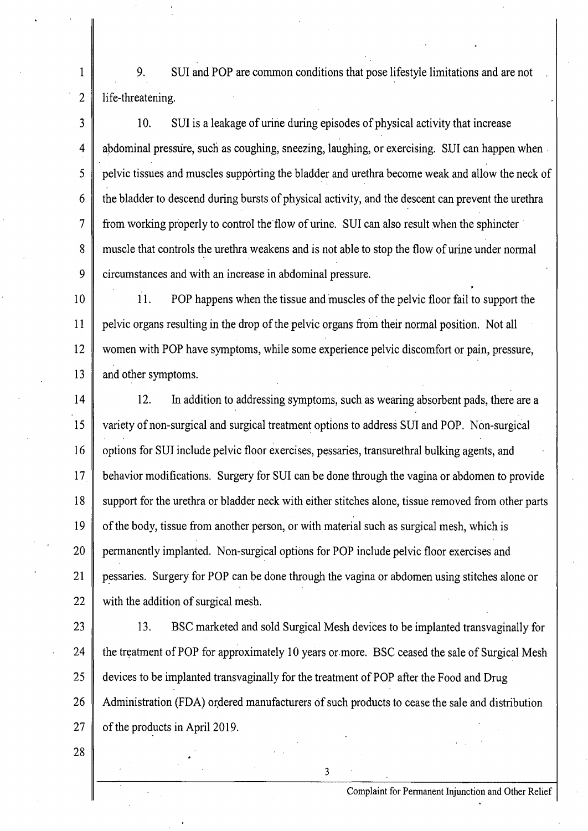9. SUI and POP are common conditions that pose lifestyle limitations and are not life-threatening.

3 4 5 6 7 8 9 10. SUI is a leakage of urine during episodes of physical activity that increase abdominal pressure, such as coughing, sneezing, laughing, or exercising. SUI can happen when . pelvic tissues and muscles supporting the bladder and urethra become weak and allow the neck of the bladder to descend during bursts of physical activity, and the descent can prevent the urethra from working properly to control the flow of urine. SUI can also result when the sphincter muscle that controls the urethra weakens and is not able to stop the flow of urine under normal circumstances and with an increase in abdominal pressure.

10 11 12 13 11. POP happens when the tissue and muscles of the pelvic floor fail to support the pelvic organs resulting in the drop of the pelvic organs from their normal position. Not all women with POP have symptoms, while some experience pelvic discomfort or pain, pressure, and other symptoms.

14 15 16 17 18 19 20 21 22 12. In addition to addressing symptoms, such as wearing absorbent pads, there are a variety of non-surgical and surgical treatment options to address SUI and POP. Non-surgical options for SUI include pelvic floor exercises, pessaries, transurethral bulking agents, and behavior modifications. Surgery for SUI can be done through the vagina or abdomen to provide support for the urethra or bladder neck with either stitches alone, tissue removed from other parts of the body, tissue from another person, or with material such as surgical mesh, which is permanently implanted. Non-surgical options for POP include pelvic floor exercises and pessaries. Surgery for POP can be done through the vagina or abdomen using stitches alone or with the addition of surgical mesh.

23

24

25

26

27

1

2

13. BSC marketed and sold Surgical Mesh devices to be implanted transvaginally for the treatment of POP for approximately 10 years or more. BSC ceased the sale of Surgical Mesh devices to be implanted transvaginally for the treatment of POP after the Food and Drug Administration (FDA) ordered manufacturers of such products to cease the sale and distribution of the products in April 2019.

3

28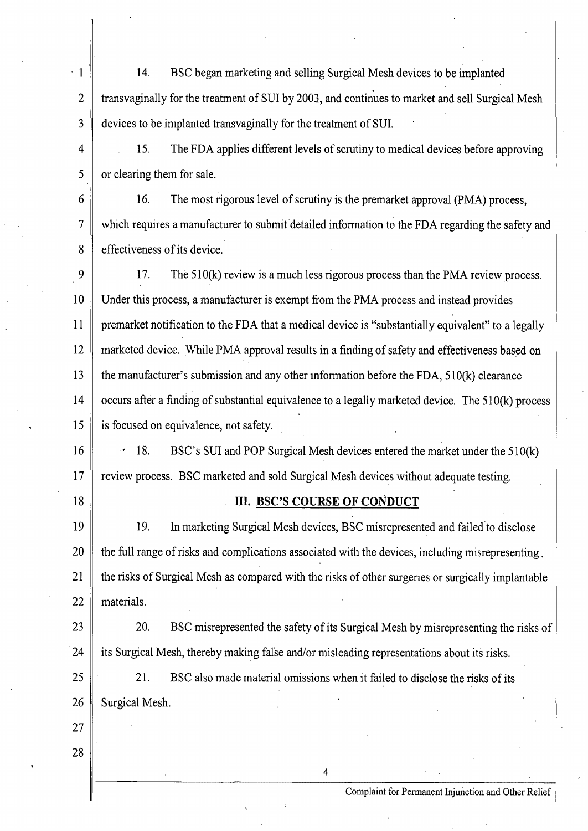$\cdot$  1 2 3 4 5 14. BSC began marketing and selling Surgical Mesh devices to be implanted transvaginally for the treatment of SUI by 2003, and continues to market and sell Surgical Mesh devices to be implanted transvaginally for the treatment of SUL 15. The FDA applies different levels of scrutiny to medical devices before approving or clearing them for sale.

6 7 8 16. The most rigorous level of scrutiny is the premarket approval (PMA) process, which requires a manufacturer to submit detailed information to the FDA regarding the safety and effectiveness of its device.

9 10 11 12 13 14 15 17. The 510(k) review is a much less rigorous process than the PMA review process. Under this process, a manufacturer is exempt from the PMA process and instead provides premarket notification to the FDA that a medical device is "substantially equivalent" to a legally marketed device. While PMA approval results in a finding of safety and effectiveness based on the manufacturer's submission and any other information before the FDA, 510(k) clearance occurs after a finding of substantial equivalence to a legally marketed device. The 51 0(k) process is focused on equivalence, not safety.

16 17 • 18. BSC's SUI and POP Surgical Mesh devices entered the market under the 510(k) review process. BSC marketed and sold Surgical Mesh devices without adequate testing.

18

## **III. BSC'S COURSE OF CONDUCT**

19 20 21 22 19. In marketing Surgical Mesh devices, BSC misrepresented and failed to disclose the full range of risks and complications associated with the devices, including misrepresenting . the risks of Surgical Mesh as compared with the risks of other surgeries or surgically implantable materials.

23  $24$ 20. BSC misrepresented the safety of its Surgical Mesh by misrepresenting the risks of its Surgical Mesh, thereby making false and/or misleading representations about its risks.

4

25 26 21. BSC also made material omissions when it failed to disclose the risks of its Surgical Mesh.

27 28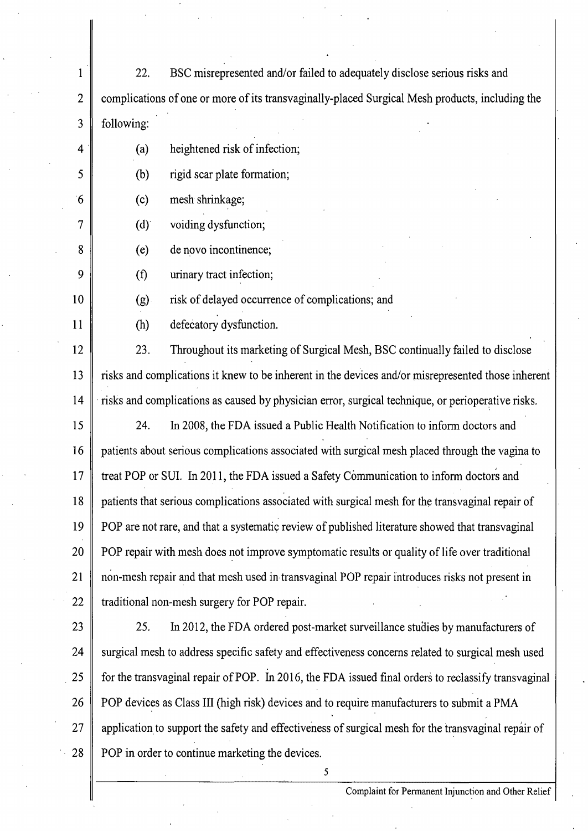1 2 3 4 5  $6<sup>1</sup>$ 7 8 9 10 11 12 13 14 15 16 17 18 19 20 21 22 23 24  $25$ 26 27 28 22. BSC misrepresented and/or failed to adequately disclose serious risks and complications of one or more of its transvaginally-placed Surgical Mesh products, including the following: (a) heightened risk of infection; (b) rigid scar plate formation; (c) mesh shrinkage; (d)' voiding dysfunction; (e) de novo incontinence; (f) urinary tract infection; (g) risk of delayed occurrence of complications; and (h) defecatory dysfunction. 23. Throughout its marketing of Surgical Mesh, BSC continually failed to disclose risks and complications it knew to be inherent in the devices and/or misrepresented those inherent risks and complications as caused by physician error, surgical technique, or perioperative risks. 24. In 2008, the FDA issued a Public Health Notification to inform doctors and patients about serious complications associated with surgical mesh placed through the vagina to treat POP or SUI. In 2011, the FDA issued a Safety Communication to inform doctors and patients that serious complications associated with surgical mesh for the transvaginal repair of POP are not rare, and that a systematic review of published literature showed that transvaginal POP repair with mesh does not improve symptomatic results or quality of life over traditional non-mesh repair and that mesh used in transvaginal POP repair introduces risks not present in traditional non-mesh surgery for POP repair. 25. In 2012, the FDA ordered post-market surveillance studies by manufacturers of surgical mesh to address specific safety and effectiveness concerns related to surgical mesh used for the transvaginal repair of POP. In 2016, the FDA issued final orders to reclassify transvaginal POP devices as Class III (high risk) devices and to require manufacturers to submit a PMA application to support the safety and effectiveness of surgical mesh for the transvaginal repair of POP in order to continue marketing the devices. 5 **·**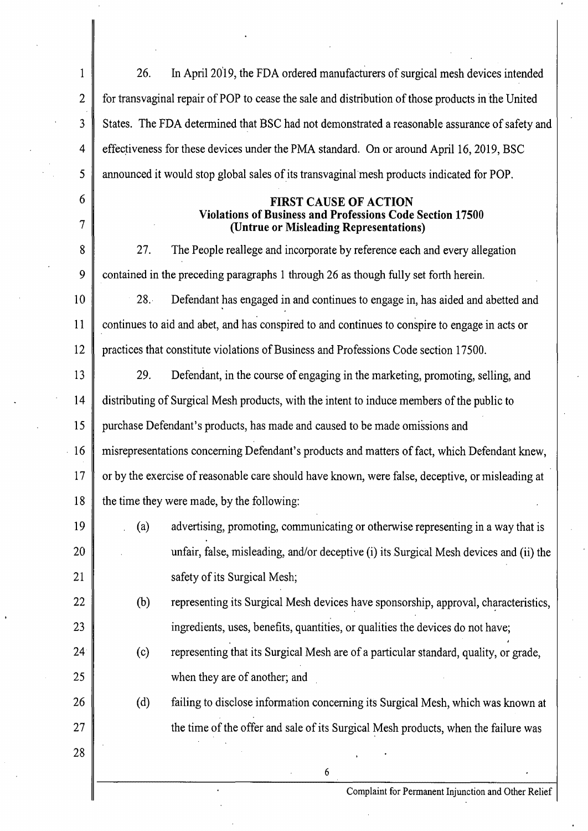| $\mathbf 1$     | In April 2019, the FDA ordered manufacturers of surgical mesh devices intended<br>26.                                                      |  |  |  |  |
|-----------------|--------------------------------------------------------------------------------------------------------------------------------------------|--|--|--|--|
| $\overline{2}$  | for transvaginal repair of POP to cease the sale and distribution of those products in the United                                          |  |  |  |  |
| 3               | States. The FDA determined that BSC had not demonstrated a reasonable assurance of safety and                                              |  |  |  |  |
| 4               | effectiveness for these devices under the PMA standard. On or around April 16, 2019, BSC                                                   |  |  |  |  |
| 5               | announced it would stop global sales of its transvaginal mesh products indicated for POP.                                                  |  |  |  |  |
| 6<br>7          | <b>FIRST CAUSE OF ACTION</b><br><b>Violations of Business and Professions Code Section 17500</b><br>(Untrue or Misleading Representations) |  |  |  |  |
| 8               | 27.<br>The People reallege and incorporate by reference each and every allegation                                                          |  |  |  |  |
| 9               | contained in the preceding paragraphs 1 through 26 as though fully set forth herein.                                                       |  |  |  |  |
| 10              | 28.7<br>Defendant has engaged in and continues to engage in, has aided and abetted and                                                     |  |  |  |  |
| 11              | continues to aid and abet, and has conspired to and continues to conspire to engage in acts or                                             |  |  |  |  |
| 12              | practices that constitute violations of Business and Professions Code section 17500.                                                       |  |  |  |  |
| 13              | 29.<br>Defendant, in the course of engaging in the marketing, promoting, selling, and                                                      |  |  |  |  |
| 14              | distributing of Surgical Mesh products, with the intent to induce members of the public to                                                 |  |  |  |  |
| 15              | purchase Defendant's products, has made and caused to be made omissions and                                                                |  |  |  |  |
| 16              | misrepresentations concerning Defendant's products and matters of fact, which Defendant knew,                                              |  |  |  |  |
| 17              | or by the exercise of reasonable care should have known, were false, deceptive, or misleading at                                           |  |  |  |  |
| 18              | the time they were made, by the following:                                                                                                 |  |  |  |  |
| 19              | advertising, promoting, communicating or otherwise representing in a way that is<br>(a)                                                    |  |  |  |  |
| 20              | unfair, false, misleading, and/or deceptive (i) its Surgical Mesh devices and (ii) the                                                     |  |  |  |  |
| 21              | safety of its Surgical Mesh;                                                                                                               |  |  |  |  |
| 22              | (b)<br>representing its Surgical Mesh devices have sponsorship, approval, characteristics,                                                 |  |  |  |  |
| 23              | ingredients, uses, benefits, quantities, or qualities the devices do not have;                                                             |  |  |  |  |
| 24 <sup>°</sup> | representing that its Surgical Mesh are of a particular standard, quality, or grade,<br>(c)                                                |  |  |  |  |
| 25              | when they are of another; and                                                                                                              |  |  |  |  |
| 26              | (d)<br>failing to disclose information concerning its Surgical Mesh, which was known at                                                    |  |  |  |  |
| 27              | the time of the offer and sale of its Surgical Mesh products, when the failure was                                                         |  |  |  |  |
| 28              |                                                                                                                                            |  |  |  |  |
|                 | 6                                                                                                                                          |  |  |  |  |
|                 | Complaint for Permanent Injunction and Other Relief                                                                                        |  |  |  |  |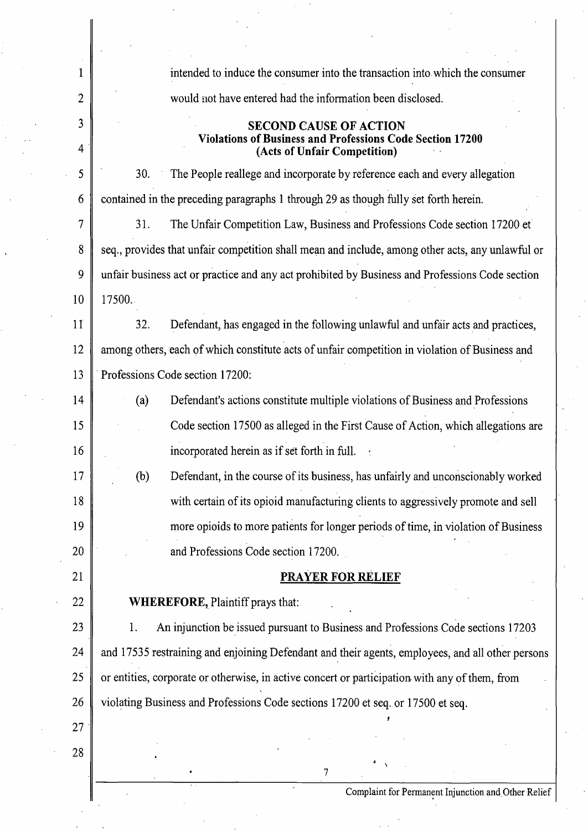| 1      | intended to induce the consumer into the transaction into which the consumer                                                      |  |  |  |  |  |
|--------|-----------------------------------------------------------------------------------------------------------------------------------|--|--|--|--|--|
| 2      | would not have entered had the information been disclosed.                                                                        |  |  |  |  |  |
| 3<br>4 | <b>SECOND CAUSE OF ACTION</b><br><b>Violations of Business and Professions Code Section 17200</b><br>(Acts of Unfair Competition) |  |  |  |  |  |
| 5      | The People reallege and incorporate by reference each and every allegation<br>30.                                                 |  |  |  |  |  |
| 6      | contained in the preceding paragraphs 1 through 29 as though fully set forth herein.                                              |  |  |  |  |  |
| 7      | 31.<br>The Unfair Competition Law, Business and Professions Code section 17200 et                                                 |  |  |  |  |  |
| 8      | seq., provides that unfair competition shall mean and include, among other acts, any unlawful or                                  |  |  |  |  |  |
| 9      | unfair business act or practice and any act prohibited by Business and Professions Code section                                   |  |  |  |  |  |
| 10     | 17500.                                                                                                                            |  |  |  |  |  |
| 11     | 32.<br>Defendant, has engaged in the following unlawful and unfair acts and practices,                                            |  |  |  |  |  |
| 12     | among others, each of which constitute acts of unfair competition in violation of Business and                                    |  |  |  |  |  |
| 13     | Professions Code section 17200:                                                                                                   |  |  |  |  |  |
| 14     | Defendant's actions constitute multiple violations of Business and Professions<br>(a)                                             |  |  |  |  |  |
| 15     | Code section 17500 as alleged in the First Cause of Action, which allegations are                                                 |  |  |  |  |  |
| 16     | incorporated herein as if set forth in full.                                                                                      |  |  |  |  |  |
| 17     | (b)<br>Defendant, in the course of its business, has unfairly and unconscionably worked                                           |  |  |  |  |  |
| 18     | with certain of its opioid manufacturing clients to aggressively promote and sell                                                 |  |  |  |  |  |
| 19     | more opioids to more patients for longer periods of time, in violation of Business                                                |  |  |  |  |  |
| 20     | and Professions Code section 17200.                                                                                               |  |  |  |  |  |
| 21     | <b>PRAYER FOR RELIEF</b>                                                                                                          |  |  |  |  |  |
| 22     | <b>WHEREFORE, Plaintiff prays that:</b>                                                                                           |  |  |  |  |  |
| 23     | An injunction be issued pursuant to Business and Professions Code sections 17203<br>1.                                            |  |  |  |  |  |
| 24     | and 17535 restraining and enjoining Defendant and their agents, employees, and all other persons                                  |  |  |  |  |  |
| 25     | or entities, corporate or otherwise, in active concert or participation with any of them, from                                    |  |  |  |  |  |
| 26     | violating Business and Professions Code sections 17200 et seq. or 17500 et seq.                                                   |  |  |  |  |  |
| 27     |                                                                                                                                   |  |  |  |  |  |
| 28     |                                                                                                                                   |  |  |  |  |  |
|        |                                                                                                                                   |  |  |  |  |  |